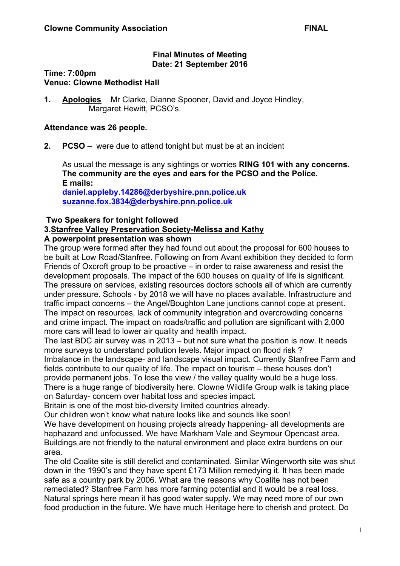### **Final Minutes of Meeting Date: 21 September 2016**

#### **Time: 7:00pm Venue: Clowne Methodist Hall**

**1. Apologies** Mr Clarke, Dianne Spooner, David and Joyce Hindley, Margaret Hewitt, PCSO's.

### **Attendance was 26 people.**

**2. PCSO** – were due to attend tonight but must be at an incident

As usual the message is any sightings or worries **RING 101 with any concerns. The community are the eyes and ears for the PCSO and the Police. E mails:**

**daniel.appleby.14286@derbyshire.pnn.police.uk suzanne.fox.3834@derbyshire.pnn.police.uk**

### **Two Speakers for tonight followed**

### **3.Stanfree Valley Preservation Society-Melissa and Kathy**

### **A powerpoint presentation was shown**

The group were formed after they had found out about the proposal for 600 houses to be built at Low Road/Stanfree. Following on from Avant exhibition they decided to form Friends of Oxcroft group to be proactive – in order to raise awareness and resist the development proposals. The impact of the 600 houses on quality of life is significant. The pressure on services, existing resources doctors schools all of which are currently under pressure. Schools - by 2018 we will have no places available. Infrastructure and traffic impact concerns – the Angel/Boughton Lane junctions cannot cope at present. The impact on resources, lack of community integration and overcrowding concerns and crime impact. The impact on roads/traffic and pollution are significant with 2,000 more cars will lead to lower air quality and health impact.

The last BDC air survey was in 2013 – but not sure what the position is now. It needs more surveys to understand pollution levels. Major impact on flood risk ?

Imbalance in the landscape- and landscape visual impact. Currently Stanfree Farm and fields contribute to our quality of life. The impact on tourism – these houses don't provide permanent jobs. To lose the view / the valley quality would be a huge loss. There is a huge range of biodiversity here. Clowne Wildlife Group walk is taking place on Saturday- concern over habitat loss and species impact.

Britain is one of the most bio-diversity limited countries already.

Our children won't know what nature looks like and sounds like soon!

We have development on housing projects already happening- all developments are haphazard and unfocussed. We have Markham Vale and Seymour Opencast area. Buildings are not friendly to the natural environment and place extra burdens on our area.

The old Coalite site is still derelict and contaminated. Similar Wingerworth site was shut down in the 1990's and they have spent £173 Million remedying it. It has been made safe as a country park by 2006. What are the reasons why Coalite has not been remediated? Stanfree Farm has more farming potential and it would be a real loss. Natural springs here mean it has good water supply. We may need more of our own food production in the future. We have much Heritage here to cherish and protect. Do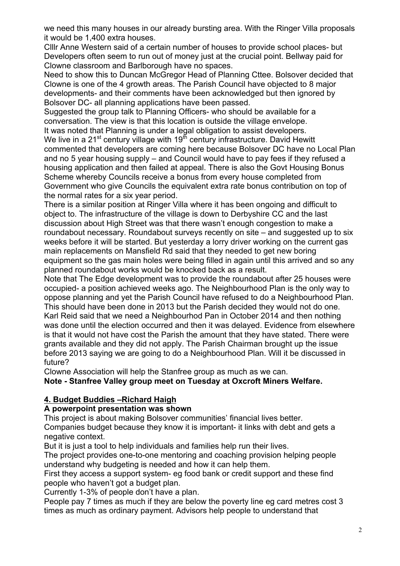we need this many houses in our already bursting area. With the Ringer Villa proposals it would be 1,400 extra houses.

Clllr Anne Western said of a certain number of houses to provide school places- but Developers often seem to run out of money just at the crucial point. Bellway paid for Clowne classroom and Barlborough have no spaces.

Need to show this to Duncan McGregor Head of Planning Cttee. Bolsover decided that Clowne is one of the 4 growth areas. The Parish Council have objected to 8 major developments- and their comments have been acknowledged but then ignored by Bolsover DC- all planning applications have been passed.

Suggested the group talk to Planning Officers- who should be available for a conversation. The view is that this location is outside the village envelope. It was noted that Planning is under a legal obligation to assist developers.

We live in a  $21^{st}$  century village with  $19^{th}$  century infrastructure. David Hewitt commented that developers are coming here because Bolsover DC have no Local Plan and no 5 year housing supply – and Council would have to pay fees if they refused a housing application and then failed at appeal. There is also the Govt Housing Bonus Scheme whereby Councils receive a bonus from every house completed from Government who give Councils the equivalent extra rate bonus contribution on top of the normal rates for a six year period.

There is a similar position at Ringer Villa where it has been ongoing and difficult to object to. The infrastructure of the village is down to Derbyshire CC and the last discussion about High Street was that there wasn't enough congestion to make a roundabout necessary. Roundabout surveys recently on site – and suggested up to six weeks before it will be started. But yesterday a lorry driver working on the current gas main replacements on Mansfield Rd said that they needed to get new boring equipment so the gas main holes were being filled in again until this arrived and so any planned roundabout works would be knocked back as a result.

Note that The Edge development was to provide the roundabout after 25 houses were occupied- a position achieved weeks ago. The Neighbourhood Plan is the only way to oppose planning and yet the Parish Council have refused to do a Neighbourhood Plan. This should have been done in 2013 but the Parish decided they would not do one. Karl Reid said that we need a Neighbourhod Pan in October 2014 and then nothing was done until the election occurred and then it was delayed. Evidence from elsewhere is that it would not have cost the Parish the amount that they have stated. There were grants available and they did not apply. The Parish Chairman brought up the issue before 2013 saying we are going to do a Neighbourhood Plan. Will it be discussed in future?

Clowne Association will help the Stanfree group as much as we can.

**Note - Stanfree Valley group meet on Tuesday at Oxcroft Miners Welfare.**

# **4. Budget Buddies –Richard Haigh**

## **A powerpoint presentation was shown**

This project is about making Bolsover communities' financial lives better. Companies budget because they know it is important- it links with debt and gets a

negative context.

But it is just a tool to help individuals and families help run their lives.

The project provides one-to-one mentoring and coaching provision helping people understand why budgeting is needed and how it can help them.

First they access a support system- eg food bank or credit support and these find people who haven't got a budget plan.

Currently 1-3% of people don't have a plan.

People pay 7 times as much if they are below the poverty line eg card metres cost 3 times as much as ordinary payment. Advisors help people to understand that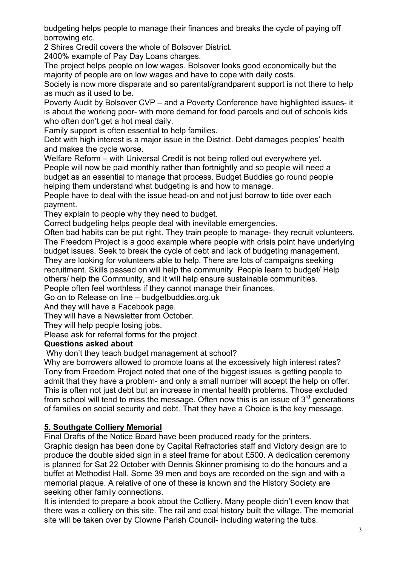budgeting helps people to manage their finances and breaks the cycle of paying off borrowing etc.

2 Shires Credit covers the whole of Bolsover District.

2400% example of Pay Day Loans charges.

The project helps people on low wages. Bolsover looks good economically but the majority of people are on low wages and have to cope with daily costs.

Society is now more disparate and so parental/grandparent support is not there to help as much as it used to be.

Poverty Audit by Bolsover CVP – and a Poverty Conference have highlighted issues- it is about the working poor- with more demand for food parcels and out of schools kids who often don't get a hot meal daily.

Family support is often essential to help families.

Debt with high interest is a major issue in the District. Debt damages peoples' health and makes the cycle worse.

Welfare Reform – with Universal Credit is not being rolled out everywhere yet. People will now be paid monthly rather than fortnightly and so people will need a budget as an essential to manage that process. Budget Buddies go round people helping them understand what budgeting is and how to manage.

People have to deal with the issue head-on and not just borrow to tide over each payment.

They explain to people why they need to budget.

Correct budgeting helps people deal with inevitable emergencies.

Often bad habits can be put right. They train people to manage- they recruit volunteers. The Freedom Project is a good example where people with crisis point have underlying budget issues. Seek to break the cycle of debt and lack of budgeting management. They are looking for volunteers able to help. There are lots of campaigns seeking recruitment. Skills passed on will help the community. People learn to budget/ Help others/ help the Community, and it will help ensure sustainable communities.

People often feel worthless if they cannot manage their finances,

Go on to Release on line – budgetbuddies.org.uk

And they will have a Facebook page.

They will have a Newsletter from October.

They will help people losing jobs.

Please ask for referral forms for the project.

## **Questions asked about**

Why don't they teach budget management at school?

Why are borrowers allowed to promote loans at the excessively high interest rates? Tony from Freedom Project noted that one of the biggest issues is getting people to admit that they have a problem- and only a small number will accept the help on offer. This is often not just debt but an increase in mental health problems. Those excluded from school will tend to miss the message. Often now this is an issue of  $3<sup>rd</sup>$  generations of families on social security and debt. That they have a Choice is the key message.

# **5. Southgate Colliery Memorial**

Final Drafts of the Notice Board have been produced ready for the printers.

Graphic design has been done by Capital Refractories staff and Victory design are to produce the double sided sign in a steel frame for about £500. A dedication ceremony is planned for Sat 22 October with Dennis Skinner promising to do the honours and a buffet at Methodist Hall. Some 39 men and boys are recorded on the sign and with a memorial plaque. A relative of one of these is known and the History Society are seeking other family connections.

It is intended to prepare a book about the Colliery. Many people didn't even know that there was a colliery on this site. The rail and coal history built the village. The memorial site will be taken over by Clowne Parish Council- including watering the tubs.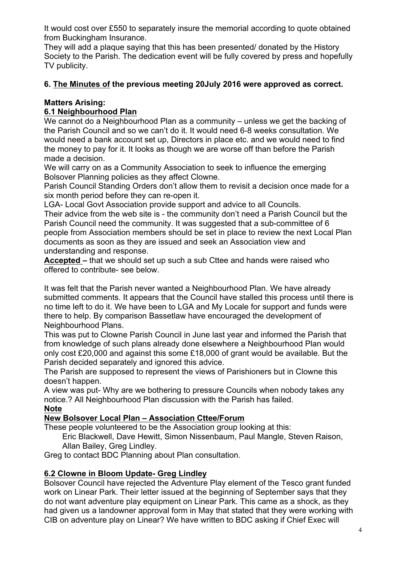It would cost over £550 to separately insure the memorial according to quote obtained from Buckingham Insurance.

They will add a plaque saying that this has been presented/ donated by the History Society to the Parish. The dedication event will be fully covered by press and hopefully TV publicity.

## **6. The Minutes of the previous meeting 20July 2016 were approved as correct.**

### **Matters Arising:**

### **6.1 Neighbourhood Plan**

We cannot do a Neighbourhood Plan as a community – unless we get the backing of the Parish Council and so we can't do it. It would need 6-8 weeks consultation. We would need a bank account set up, Directors in place etc. and we would need to find the money to pay for it. It looks as though we are worse off than before the Parish made a decision.

We will carry on as a Community Association to seek to influence the emerging Bolsover Planning policies as they affect Clowne.

Parish Council Standing Orders don't allow them to revisit a decision once made for a six month period before they can re-open it.

LGA- Local Govt Association provide support and advice to all Councils.

Their advice from the web site is - the community don't need a Parish Council but the Parish Council need the community. It was suggested that a sub-committee of 6 people from Association members should be set in place to review the next Local Plan documents as soon as they are issued and seek an Association view and understanding and response.

**Accepted –** that we should set up such a sub Cttee and hands were raised who offered to contribute- see below.

It was felt that the Parish never wanted a Neighbourhood Plan. We have already submitted comments. It appears that the Council have stalled this process until there is no time left to do it. We have been to LGA and My Locale for support and funds were there to help. By comparison Bassetlaw have encouraged the development of Neighbourhood Plans.

This was put to Clowne Parish Council in June last year and informed the Parish that from knowledge of such plans already done elsewhere a Neighbourhood Plan would only cost £20,000 and against this some £18,000 of grant would be available. But the Parish decided separately and ignored this advice.

The Parish are supposed to represent the views of Parishioners but in Clowne this doesn't happen.

A view was put- Why are we bothering to pressure Councils when nobody takes any notice.? All Neighbourhood Plan discussion with the Parish has failed.

## **Note**

### **New Bolsover Local Plan – Association Cttee/Forum**

These people volunteered to be the Association group looking at this:

Eric Blackwell, Dave Hewitt, Simon Nissenbaum, Paul Mangle, Steven Raison, Allan Bailey, Greg Lindley.

Greg to contact BDC Planning about Plan consultation.

### **6.2 Clowne in Bloom Update- Greg Lindley**

Bolsover Council have rejected the Adventure Play element of the Tesco grant funded work on Linear Park. Their letter issued at the beginning of September says that they do not want adventure play equipment on Linear Park. This came as a shock, as they had given us a landowner approval form in May that stated that they were working with CIB on adventure play on Linear? We have written to BDC asking if Chief Exec will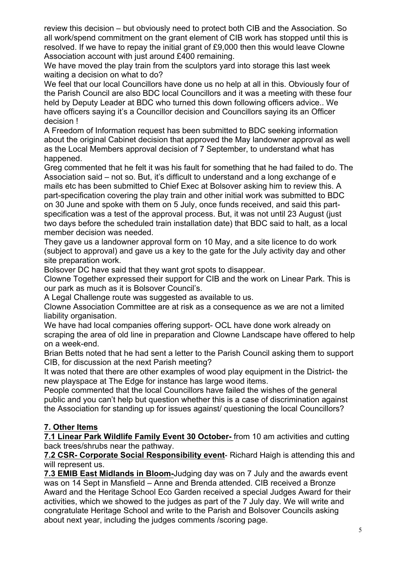review this decision – but obviously need to protect both CIB and the Association. So all work/spend commitment on the grant element of CIB work has stopped until this is resolved. If we have to repay the initial grant of £9,000 then this would leave Clowne Association account with just around £400 remaining.

We have moved the play train from the sculptors yard into storage this last week waiting a decision on what to do?

We feel that our local Councillors have done us no help at all in this. Obviously four of the Parish Council are also BDC local Councillors and it was a meeting with these four held by Deputy Leader at BDC who turned this down following officers advice.. We have officers saying it's a Councillor decision and Councillors saying its an Officer decision !

A Freedom of Information request has been submitted to BDC seeking information about the original Cabinet decision that approved the May landowner approval as well as the Local Members approval decision of 7 September, to understand what has happened.

Greg commented that he felt it was his fault for something that he had failed to do. The Association said – not so. But, it's difficult to understand and a long exchange of e mails etc has been submitted to Chief Exec at Bolsover asking him to review this. A part-specification covering the play train and other initial work was submitted to BDC on 30 June and spoke with them on 5 July, once funds received, and said this partspecification was a test of the approval process. But, it was not until 23 August (just two days before the scheduled train installation date) that BDC said to halt, as a local member decision was needed.

They gave us a landowner approval form on 10 May, and a site licence to do work (subject to approval) and gave us a key to the gate for the July activity day and other site preparation work.

Bolsover DC have said that they want grot spots to disappear.

Clowne Together expressed their support for CIB and the work on Linear Park. This is our park as much as it is Bolsover Council's.

A Legal Challenge route was suggested as available to us.

Clowne Association Committee are at risk as a consequence as we are not a limited liability organisation.

We have had local companies offering support- OCL have done work already on scraping the area of old line in preparation and Clowne Landscape have offered to help on a week-end.

Brian Betts noted that he had sent a letter to the Parish Council asking them to support CIB, for discussion at the next Parish meeting?

It was noted that there are other examples of wood play equipment in the District- the new playspace at The Edge for instance has large wood items.

People commented that the local Councillors have failed the wishes of the general public and you can't help but question whether this is a case of discrimination against the Association for standing up for issues against/ questioning the local Councillors?

## **7. Other Items**

**7.1 Linear Park Wildlife Family Event 30 October-** from 10 am activities and cutting back trees/shrubs near the pathway.

**7.2 CSR- Corporate Social Responsibility event**- Richard Haigh is attending this and will represent us.

**7.3 EMIB East Midlands in Bloom-**Judging day was on 7 July and the awards event was on 14 Sept in Mansfield – Anne and Brenda attended. CIB received a Bronze Award and the Heritage School Eco Garden received a special Judges Award for their activities, which we showed to the judges as part of the 7 July day. We will write and congratulate Heritage School and write to the Parish and Bolsover Councils asking about next year, including the judges comments /scoring page.